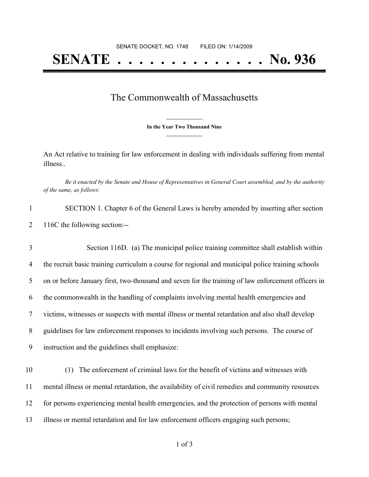## **SENATE . . . . . . . . . . . . . . No. 936**

## The Commonwealth of Massachusetts

**\_\_\_\_\_\_\_\_\_\_\_\_\_\_\_ In the Year Two Thousand Nine \_\_\_\_\_\_\_\_\_\_\_\_\_\_\_**

An Act relative to training for law enforcement in dealing with individuals suffering from mental illness..

Be it enacted by the Senate and House of Representatives in General Court assembled, and by the authority *of the same, as follows:*

| SECTION 1. Chapter 6 of the General Laws is hereby amended by inserting after section |
|---------------------------------------------------------------------------------------|
| 116C the following section:--                                                         |

 Section 116D. (a) The municipal police training committee shall establish within 4 the recruit basic training curriculum a course for regional and municipal police training schools on or before January first, two-thousand and seven for the training of law enforcement officers in the commonwealth in the handling of complaints involving mental health emergencies and victims, witnesses or suspects with mental illness or mental retardation and also shall develop guidelines for law enforcement responses to incidents involving such persons. The course of instruction and the guidelines shall emphasize:

 (1) The enforcement of criminal laws for the benefit of victims and witnesses with mental illness or mental retardation, the availability of civil remedies and community resources for persons experiencing mental health emergencies, and the protection of persons with mental illness or mental retardation and for law enforcement officers engaging such persons;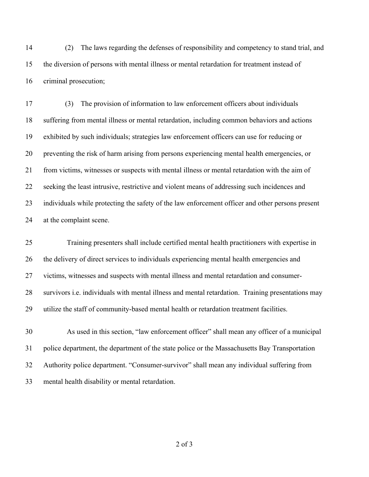(2) The laws regarding the defenses of responsibility and competency to stand trial, and the diversion of persons with mental illness or mental retardation for treatment instead of criminal prosecution;

 (3) The provision of information to law enforcement officers about individuals suffering from mental illness or mental retardation, including common behaviors and actions exhibited by such individuals; strategies law enforcement officers can use for reducing or preventing the risk of harm arising from persons experiencing mental health emergencies, or from victims, witnesses or suspects with mental illness or mental retardation with the aim of seeking the least intrusive, restrictive and violent means of addressing such incidences and individuals while protecting the safety of the law enforcement officer and other persons present at the complaint scene.

 Training presenters shall include certified mental health practitioners with expertise in the delivery of direct services to individuals experiencing mental health emergencies and victims, witnesses and suspects with mental illness and mental retardation and consumer- survivors i.e. individuals with mental illness and mental retardation. Training presentations may utilize the staff of community-based mental health or retardation treatment facilities.

 As used in this section, "law enforcement officer" shall mean any officer of a municipal police department, the department of the state police or the Massachusetts Bay Transportation Authority police department. "Consumer-survivor" shall mean any individual suffering from mental health disability or mental retardation.

of 3